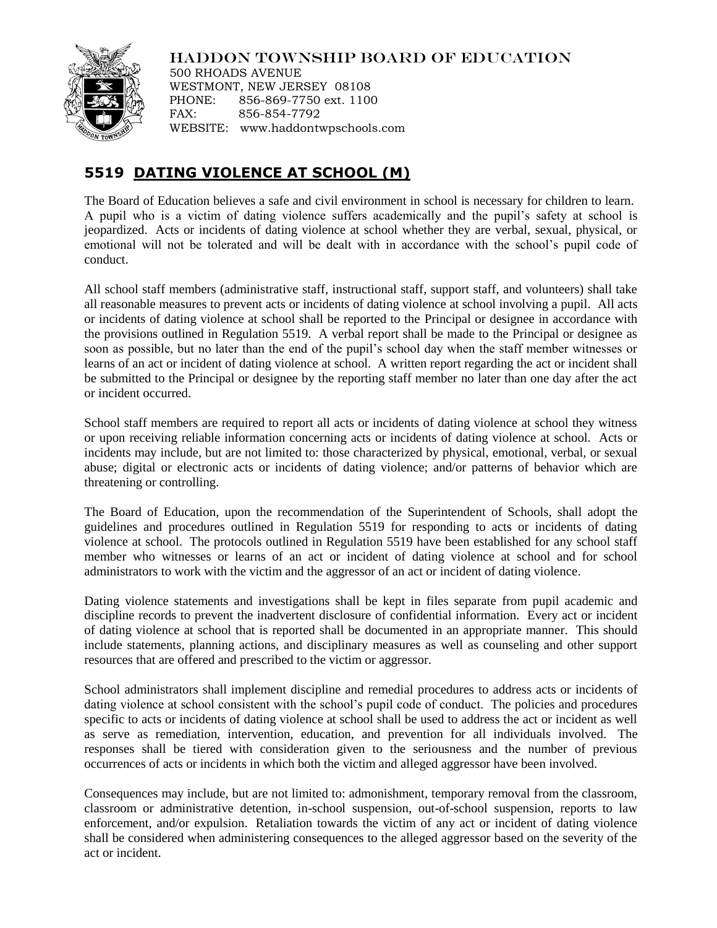## HADDON TOWNSHIP BOARD OF EDUCATION



500 RHOADS AVENUE WESTMONT, NEW JERSEY 08108 PHONE: 856-869-7750 ext. 1100 FAX: 856-854-7792 WEBSITE: www.haddontwpschools.com

## **5519 DATING VIOLENCE AT SCHOOL (M)**

The Board of Education believes a safe and civil environment in school is necessary for children to learn. A pupil who is a victim of dating violence suffers academically and the pupil's safety at school is jeopardized. Acts or incidents of dating violence at school whether they are verbal, sexual, physical, or emotional will not be tolerated and will be dealt with in accordance with the school's pupil code of conduct.

All school staff members (administrative staff, instructional staff, support staff, and volunteers) shall take all reasonable measures to prevent acts or incidents of dating violence at school involving a pupil. All acts or incidents of dating violence at school shall be reported to the Principal or designee in accordance with the provisions outlined in Regulation 5519. A verbal report shall be made to the Principal or designee as soon as possible, but no later than the end of the pupil's school day when the staff member witnesses or learns of an act or incident of dating violence at school. A written report regarding the act or incident shall be submitted to the Principal or designee by the reporting staff member no later than one day after the act or incident occurred.

School staff members are required to report all acts or incidents of dating violence at school they witness or upon receiving reliable information concerning acts or incidents of dating violence at school. Acts or incidents may include, but are not limited to: those characterized by physical, emotional, verbal, or sexual abuse; digital or electronic acts or incidents of dating violence; and/or patterns of behavior which are threatening or controlling.

The Board of Education, upon the recommendation of the Superintendent of Schools, shall adopt the guidelines and procedures outlined in Regulation 5519 for responding to acts or incidents of dating violence at school. The protocols outlined in Regulation 5519 have been established for any school staff member who witnesses or learns of an act or incident of dating violence at school and for school administrators to work with the victim and the aggressor of an act or incident of dating violence.

Dating violence statements and investigations shall be kept in files separate from pupil academic and discipline records to prevent the inadvertent disclosure of confidential information. Every act or incident of dating violence at school that is reported shall be documented in an appropriate manner. This should include statements, planning actions, and disciplinary measures as well as counseling and other support resources that are offered and prescribed to the victim or aggressor.

School administrators shall implement discipline and remedial procedures to address acts or incidents of dating violence at school consistent with the school's pupil code of conduct. The policies and procedures specific to acts or incidents of dating violence at school shall be used to address the act or incident as well as serve as remediation, intervention, education, and prevention for all individuals involved. The responses shall be tiered with consideration given to the seriousness and the number of previous occurrences of acts or incidents in which both the victim and alleged aggressor have been involved.

Consequences may include, but are not limited to: admonishment, temporary removal from the classroom, classroom or administrative detention, in-school suspension, out-of-school suspension, reports to law enforcement, and/or expulsion. Retaliation towards the victim of any act or incident of dating violence shall be considered when administering consequences to the alleged aggressor based on the severity of the act or incident.